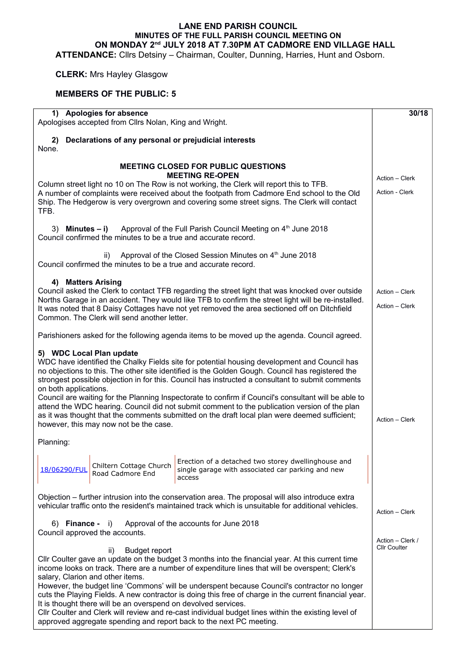## **LANE END PARISH COUNCIL MINUTES OF THE FULL PARISH COUNCIL MEETING ON ON MONDAY 2nd JULY 2018 AT 7.30PM AT CADMORE END VILLAGE HALL**

**ATTENDANCE:** Cllrs Detsiny – Chairman, Coulter, Dunning, Harries, Hunt and Osborn.

## **CLERK:** Mrs Hayley Glasgow

## **MEMBERS OF THE PUBLIC: 5**

| 1) Apologies for absence<br>Apologises accepted from Cllrs Nolan, King and Wright.                                                                                                                    |                     |  |  |  |
|-------------------------------------------------------------------------------------------------------------------------------------------------------------------------------------------------------|---------------------|--|--|--|
| 2) Declarations of any personal or prejudicial interests<br>None.                                                                                                                                     |                     |  |  |  |
| <b>MEETING CLOSED FOR PUBLIC QUESTIONS</b><br><b>MEETING RE-OPEN</b>                                                                                                                                  |                     |  |  |  |
| Column street light no 10 on The Row is not working, the Clerk will report this to TFB.                                                                                                               | Action - Clerk      |  |  |  |
| A number of complaints were received about the footpath from Cadmore End school to the Old<br>Ship. The Hedgerow is very overgrown and covering some street signs. The Clerk will contact<br>TFB.     | Action - Clerk      |  |  |  |
| Approval of the Full Parish Council Meeting on 4 <sup>th</sup> June 2018<br>Minutes – i)<br>3)<br>Council confirmed the minutes to be a true and accurate record.                                     |                     |  |  |  |
| Approval of the Closed Session Minutes on 4 <sup>th</sup> June 2018<br>ii)<br>Council confirmed the minutes to be a true and accurate record.                                                         |                     |  |  |  |
| 4) Matters Arising                                                                                                                                                                                    |                     |  |  |  |
| Council asked the Clerk to contact TFB regarding the street light that was knocked over outside                                                                                                       | Action - Clerk      |  |  |  |
| Norths Garage in an accident. They would like TFB to confirm the street light will be re-installed.                                                                                                   | Action - Clerk      |  |  |  |
| It was noted that 8 Daisy Cottages have not yet removed the area sectioned off on Ditchfield<br>Common. The Clerk will send another letter.                                                           |                     |  |  |  |
| Parishioners asked for the following agenda items to be moved up the agenda. Council agreed.                                                                                                          |                     |  |  |  |
| 5) WDC Local Plan update                                                                                                                                                                              |                     |  |  |  |
| WDC have identified the Chalky Fields site for potential housing development and Council has                                                                                                          |                     |  |  |  |
| no objections to this. The other site identified is the Golden Gough. Council has registered the                                                                                                      |                     |  |  |  |
| strongest possible objection in for this. Council has instructed a consultant to submit comments<br>on both applications.                                                                             |                     |  |  |  |
| Council are waiting for the Planning Inspectorate to confirm if Council's consultant will be able to                                                                                                  |                     |  |  |  |
| attend the WDC hearing. Council did not submit comment to the publication version of the plan                                                                                                         |                     |  |  |  |
| as it was thought that the comments submitted on the draft local plan were deemed sufficient;<br>Action - Clerk<br>however, this may now not be the case.                                             |                     |  |  |  |
| Planning:                                                                                                                                                                                             |                     |  |  |  |
| Erection of a detached two storey dwellinghouse and                                                                                                                                                   |                     |  |  |  |
| Chiltern Cottage Church<br>single garage with associated car parking and new<br>18/06290/FUL<br>Road Cadmore End                                                                                      |                     |  |  |  |
| access                                                                                                                                                                                                |                     |  |  |  |
| Objection – further intrusion into the conservation area. The proposal will also introduce extra                                                                                                      |                     |  |  |  |
| vehicular traffic onto the resident's maintained track which is unsuitable for additional vehicles.                                                                                                   |                     |  |  |  |
|                                                                                                                                                                                                       | Action - Clerk      |  |  |  |
| Approval of the accounts for June 2018<br>6) Finance -<br>$\vert$ i)                                                                                                                                  |                     |  |  |  |
| Council approved the accounts.                                                                                                                                                                        | Action - Clerk /    |  |  |  |
| ii)<br><b>Budget report</b>                                                                                                                                                                           | <b>CIIr Coulter</b> |  |  |  |
| CIIr Coulter gave an update on the budget 3 months into the financial year. At this current time                                                                                                      |                     |  |  |  |
| income looks on track. There are a number of expenditure lines that will be overspent; Clerk's                                                                                                        |                     |  |  |  |
| salary, Clarion and other items.                                                                                                                                                                      |                     |  |  |  |
| However, the budget line 'Commons' will be underspent because Council's contractor no longer<br>cuts the Playing Fields. A new contractor is doing this free of charge in the current financial year. |                     |  |  |  |
| It is thought there will be an overspend on devolved services.                                                                                                                                        |                     |  |  |  |
| CIIr Coulter and Clerk will review and re-cast individual budget lines within the existing level of                                                                                                   |                     |  |  |  |
| approved aggregate spending and report back to the next PC meeting.                                                                                                                                   |                     |  |  |  |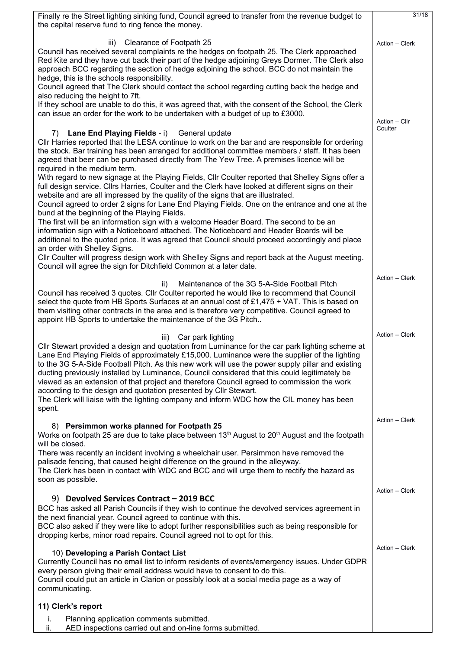| Finally re the Street lighting sinking fund, Council agreed to transfer from the revenue budget to<br>the capital reserve fund to ring fence the money.                                                                                                                                                                                                                                                                                                                                                                                                                                                                                                                                                      |                |  |  |  |
|--------------------------------------------------------------------------------------------------------------------------------------------------------------------------------------------------------------------------------------------------------------------------------------------------------------------------------------------------------------------------------------------------------------------------------------------------------------------------------------------------------------------------------------------------------------------------------------------------------------------------------------------------------------------------------------------------------------|----------------|--|--|--|
| Clearance of Footpath 25<br>iii)<br>Council has received several complaints re the hedges on footpath 25. The Clerk approached<br>Red Kite and they have cut back their part of the hedge adjoining Greys Dormer. The Clerk also<br>approach BCC regarding the section of hedge adjoining the school. BCC do not maintain the<br>hedge, this is the schools responsibility.                                                                                                                                                                                                                                                                                                                                  | Action - Clerk |  |  |  |
| Council agreed that The Clerk should contact the school regarding cutting back the hedge and<br>also reducing the height to 7ft.<br>If they school are unable to do this, it was agreed that, with the consent of the School, the Clerk<br>can issue an order for the work to be undertaken with a budget of up to £3000.                                                                                                                                                                                                                                                                                                                                                                                    | Action - Cllr  |  |  |  |
| Lane End Playing Fields - i)<br>General update<br>7)<br>CIIr Harries reported that the LESA continue to work on the bar and are responsible for ordering<br>the stock. Bar training has been arranged for additional committee members / staff. It has been<br>agreed that beer can be purchased directly from The Yew Tree. A premises licence will be<br>required in the medium term.                                                                                                                                                                                                                                                                                                                      | Coulter        |  |  |  |
| With regard to new signage at the Playing Fields, Cllr Coulter reported that Shelley Signs offer a<br>full design service. Cllrs Harries, Coulter and the Clerk have looked at different signs on their<br>website and are all impressed by the quality of the signs that are illustrated.<br>Council agreed to order 2 signs for Lane End Playing Fields. One on the entrance and one at the<br>bund at the beginning of the Playing Fields.<br>The first will be an information sign with a welcome Header Board. The second to be an                                                                                                                                                                      |                |  |  |  |
| information sign with a Noticeboard attached. The Noticeboard and Header Boards will be<br>additional to the quoted price. It was agreed that Council should proceed accordingly and place<br>an order with Shelley Signs.<br>CIIr Coulter will progress design work with Shelley Signs and report back at the August meeting.<br>Council will agree the sign for Ditchfield Common at a later date.                                                                                                                                                                                                                                                                                                         |                |  |  |  |
| Maintenance of the 3G 5-A-Side Football Pitch<br>ii)<br>Council has received 3 quotes. Cllr Coulter reported he would like to recommend that Council<br>select the quote from HB Sports Surfaces at an annual cost of $£1,475 + VA$ T. This is based on<br>them visiting other contracts in the area and is therefore very competitive. Council agreed to<br>appoint HB Sports to undertake the maintenance of the 3G Pitch                                                                                                                                                                                                                                                                                  | Action - Clerk |  |  |  |
| Car park lighting<br>iii)<br>CIIr Stewart provided a design and quotation from Luminance for the car park lighting scheme at<br>Lane End Playing Fields of approximately £15,000. Luminance were the supplier of the lighting<br>to the 3G 5-A-Side Football Pitch. As this new work will use the power supply pillar and existing<br>ducting previously installed by Luminance, Council considered that this could legitimately be<br>viewed as an extension of that project and therefore Council agreed to commission the work<br>according to the design and quotation presented by Cllr Stewart.<br>The Clerk will liaise with the lighting company and inform WDC how the CIL money has been<br>spent. | Action - Clerk |  |  |  |
| <b>Persimmon works planned for Footpath 25</b><br>8)<br>Works on footpath 25 are due to take place between $13th$ August to $20th$ August and the footpath                                                                                                                                                                                                                                                                                                                                                                                                                                                                                                                                                   | Action - Clerk |  |  |  |
| will be closed.<br>There was recently an incident involving a wheelchair user. Persimmon have removed the<br>palisade fencing, that caused height difference on the ground in the alleyway.<br>The Clerk has been in contact with WDC and BCC and will urge them to rectify the hazard as<br>soon as possible.                                                                                                                                                                                                                                                                                                                                                                                               |                |  |  |  |
| 9) Devolved Services Contract - 2019 BCC<br>BCC has asked all Parish Councils if they wish to continue the devolved services agreement in<br>the next financial year. Council agreed to continue with this.<br>BCC also asked if they were like to adopt further responsibilities such as being responsible for<br>dropping kerbs, minor road repairs. Council agreed not to opt for this.                                                                                                                                                                                                                                                                                                                   | Action - Clerk |  |  |  |
| 10) Developing a Parish Contact List<br>Currently Council has no email list to inform residents of events/emergency issues. Under GDPR<br>every person giving their email address would have to consent to do this.<br>Council could put an article in Clarion or possibly look at a social media page as a way of<br>communicating.                                                                                                                                                                                                                                                                                                                                                                         | Action - Clerk |  |  |  |
| 11) Clerk's report                                                                                                                                                                                                                                                                                                                                                                                                                                                                                                                                                                                                                                                                                           |                |  |  |  |
| Planning application comments submitted.<br>i.<br>AED inspections carried out and on-line forms submitted.<br>ii.                                                                                                                                                                                                                                                                                                                                                                                                                                                                                                                                                                                            |                |  |  |  |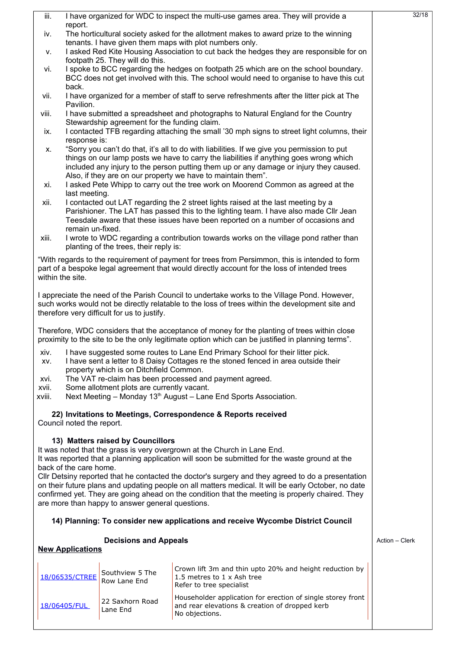|                                                                                                                                                                                                                                                                                                                                                                 | iii.             |                                                                                                                                                             |                                              | I have organized for WDC to inspect the multi-use games area. They will provide a                                                                                                                                                                                                                                                               | 32/18 |  |
|-----------------------------------------------------------------------------------------------------------------------------------------------------------------------------------------------------------------------------------------------------------------------------------------------------------------------------------------------------------------|------------------|-------------------------------------------------------------------------------------------------------------------------------------------------------------|----------------------------------------------|-------------------------------------------------------------------------------------------------------------------------------------------------------------------------------------------------------------------------------------------------------------------------------------------------------------------------------------------------|-------|--|
|                                                                                                                                                                                                                                                                                                                                                                 | iv.              | report.<br>The horticultural society asked for the allotment makes to award prize to the winning<br>tenants. I have given them maps with plot numbers only. |                                              |                                                                                                                                                                                                                                                                                                                                                 |       |  |
|                                                                                                                                                                                                                                                                                                                                                                 | ۷.               |                                                                                                                                                             | footpath 25. They will do this.              | I asked Red Kite Housing Association to cut back the hedges they are responsible for on                                                                                                                                                                                                                                                         |       |  |
|                                                                                                                                                                                                                                                                                                                                                                 | vi.              | back.                                                                                                                                                       |                                              | I spoke to BCC regarding the hedges on footpath 25 which are on the school boundary.<br>BCC does not get involved with this. The school would need to organise to have this cut                                                                                                                                                                 |       |  |
|                                                                                                                                                                                                                                                                                                                                                                 | vii.             | Pavilion.                                                                                                                                                   |                                              | I have organized for a member of staff to serve refreshments after the litter pick at The                                                                                                                                                                                                                                                       |       |  |
|                                                                                                                                                                                                                                                                                                                                                                 | viii.            |                                                                                                                                                             | Stewardship agreement for the funding claim. | I have submitted a spreadsheet and photographs to Natural England for the Country                                                                                                                                                                                                                                                               |       |  |
|                                                                                                                                                                                                                                                                                                                                                                 | ix.              | response is:                                                                                                                                                |                                              | I contacted TFB regarding attaching the small '30 mph signs to street light columns, their                                                                                                                                                                                                                                                      |       |  |
|                                                                                                                                                                                                                                                                                                                                                                 | Х.               |                                                                                                                                                             |                                              | "Sorry you can't do that, it's all to do with liabilities. If we give you permission to put<br>things on our lamp posts we have to carry the liabilities if anything goes wrong which<br>included any injury to the person putting them up or any damage or injury they caused.<br>Also, if they are on our property we have to maintain them". |       |  |
|                                                                                                                                                                                                                                                                                                                                                                 | xi.              | last meeting.                                                                                                                                               |                                              | I asked Pete Whipp to carry out the tree work on Moorend Common as agreed at the                                                                                                                                                                                                                                                                |       |  |
|                                                                                                                                                                                                                                                                                                                                                                 | xii.             | remain un-fixed.                                                                                                                                            |                                              | I contacted out LAT regarding the 2 street lights raised at the last meeting by a<br>Parishioner. The LAT has passed this to the lighting team. I have also made Cllr Jean<br>Teesdale aware that these issues have been reported on a number of occasions and                                                                                  |       |  |
|                                                                                                                                                                                                                                                                                                                                                                 | xiii.            |                                                                                                                                                             | planting of the trees, their reply is:       | I wrote to WDC regarding a contribution towards works on the village pond rather than                                                                                                                                                                                                                                                           |       |  |
|                                                                                                                                                                                                                                                                                                                                                                 | within the site. |                                                                                                                                                             |                                              | "With regards to the requirement of payment for trees from Persimmon, this is intended to form<br>part of a bespoke legal agreement that would directly account for the loss of intended trees                                                                                                                                                  |       |  |
| I appreciate the need of the Parish Council to undertake works to the Village Pond. However,<br>such works would not be directly relatable to the loss of trees within the development site and<br>therefore very difficult for us to justify.                                                                                                                  |                  |                                                                                                                                                             |                                              |                                                                                                                                                                                                                                                                                                                                                 |       |  |
| Therefore, WDC considers that the acceptance of money for the planting of trees within close<br>proximity to the site to be the only legitimate option which can be justified in planning terms".                                                                                                                                                               |                  |                                                                                                                                                             |                                              |                                                                                                                                                                                                                                                                                                                                                 |       |  |
|                                                                                                                                                                                                                                                                                                                                                                 | XV.              |                                                                                                                                                             |                                              | xiv. I have suggested some routes to Lane End Primary School for their litter pick.<br>I have sent a letter to 8 Daisy Cottages re the stoned fenced in area outside their                                                                                                                                                                      |       |  |
| property which is on Ditchfield Common.<br>The VAT re-claim has been processed and payment agreed.<br>XVI.                                                                                                                                                                                                                                                      |                  |                                                                                                                                                             |                                              |                                                                                                                                                                                                                                                                                                                                                 |       |  |
|                                                                                                                                                                                                                                                                                                                                                                 | xvii.<br>xviii.  |                                                                                                                                                             | Some allotment plots are currently vacant.   | Next Meeting - Monday 13 <sup>th</sup> August - Lane End Sports Association.                                                                                                                                                                                                                                                                    |       |  |
| 22) Invitations to Meetings, Correspondence & Reports received<br>Council noted the report.                                                                                                                                                                                                                                                                     |                  |                                                                                                                                                             |                                              |                                                                                                                                                                                                                                                                                                                                                 |       |  |
|                                                                                                                                                                                                                                                                                                                                                                 |                  | back of the care home.                                                                                                                                      | 13) Matters raised by Councillors            | It was noted that the grass is very overgrown at the Church in Lane End.<br>It was reported that a planning application will soon be submitted for the waste ground at the                                                                                                                                                                      |       |  |
| CIIr Detsiny reported that he contacted the doctor's surgery and they agreed to do a presentation<br>on their future plans and updating people on all matters medical. It will be early October, no date<br>confirmed yet. They are going ahead on the condition that the meeting is properly chaired. They<br>are more than happy to answer general questions. |                  |                                                                                                                                                             |                                              |                                                                                                                                                                                                                                                                                                                                                 |       |  |
|                                                                                                                                                                                                                                                                                                                                                                 |                  |                                                                                                                                                             |                                              | 14) Planning: To consider new applications and receive Wycombe District Council                                                                                                                                                                                                                                                                 |       |  |
| <b>Decisions and Appeals</b><br><b>New Applications</b>                                                                                                                                                                                                                                                                                                         |                  |                                                                                                                                                             |                                              | Action - Clerk                                                                                                                                                                                                                                                                                                                                  |       |  |
|                                                                                                                                                                                                                                                                                                                                                                 |                  | 18/06535/CTREE                                                                                                                                              | Southview 5 The<br>Row Lane End              | Crown lift 3m and thin upto 20% and height reduction by<br>1.5 metres to 1 x Ash tree<br>Refer to tree specialist                                                                                                                                                                                                                               |       |  |
|                                                                                                                                                                                                                                                                                                                                                                 |                  | 18/06405/FUL                                                                                                                                                | 22 Saxhorn Road<br>Lane End                  | Householder application for erection of single storey front<br>and rear elevations & creation of dropped kerb<br>No objections.                                                                                                                                                                                                                 |       |  |
|                                                                                                                                                                                                                                                                                                                                                                 |                  |                                                                                                                                                             |                                              |                                                                                                                                                                                                                                                                                                                                                 |       |  |